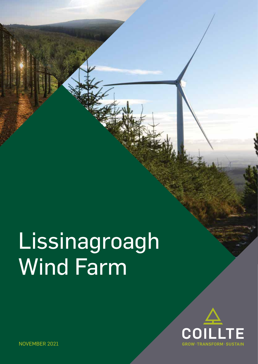# Lissinagroagh Wind Farm



NOVEMBER 2021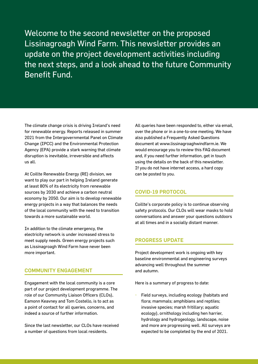Welcome to the second newsletter on the proposed Lissinagroagh Wind Farm. This newsletter provides an update on the project development activities including the next steps, and a look ahead to the future Community Benefit Fund.

The climate change crisis is driving Ireland's need for renewable energy. Reports released in summer 2021 from the Intergovernmental Panel on Climate Change (IPCC) and the Environmental Protection Agency (EPA) provide a stark warning that climate disruption is inevitable, irreversible and affects us all.

At Coillte Renewable Energy (RE) division, we want to play our part in helping Ireland generate at least 80% of its electricity from renewable sources by 2030 and achieve a carbon neutral economy by 2050. Our aim is to develop renewable energy projects in a way that balances the needs of the local community with the need to transition towards a more sustainable world.

In addition to the climate emergency, the electricity network is under increased stress to meet supply needs. Green energy projects such as Lissinagroagh Wind Farm have never been more important.

### COMMUNITY ENGAGEMENT

Engagement with the local community is a core part of our project development programme. The role of our Community Liaison Officers (CLOs), Eamonn Keavney and Tom Costello, is to act as a point of contact for all queries, concerns, and indeed a source of further information.

Since the last newsletter, our CLOs have received a number of questions from local residents.

All queries have been responded to, either via email, over the phone or in a one-to-one meeting. We have also published a Frequently Asked Questions document at www.lissinagroaghwindfarm.ie. We would encourage you to review this FAQ document and, if you need further information, get in touch using the details on the back of this newsletter. If you do not have internet access, a hard copy can be posted to you.

### COVID-19 PROTOCOL

Coillte's corporate policy is to continue observing safety protocols. Our CLOs will wear masks to hold conversations and answer your questions outdoors at all times and in a socially distant manner.

# PROGRESS UPDATE

Project development work is ongoing with key baseline environmental and engineering surveys advancing well throughout the summer and autumn.

Here is a summary of progress to date:

• Field surveys, including ecology (habitats and flora; mammals; amphibians and reptiles; invasive species; marsh fritillary; aquatic ecology), ornithology including hen harrier, hydrology and hydrogeology, landscape, noise and more are progressing well. All surveys are expected to be completed by the end of 2021.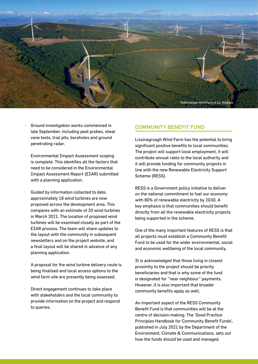

- Ground investigation works commenced in late September, including peat probes, shear vane tests, trial pits, boreholes and ground penetrating radar.
- Environmental Impact Assessment scoping is complete. This identifies all the factors that need to be considered in the Environmental Impact Assessment Report (EIAR) submitted with a planning application.
- Guided by information collected to date, approximately 18 wind turbines are now proposed across the development area. This compares with an estimate of 20 wind turbines in March 2021. The location of proposed wind turbines will be examined closely as part of the EIAR process. The team will share updates to the layout with the community in subsequent newsletters and on the project website, and a final layout will be shared in advance of any planning application.
- A proposal for the wind turbine delivery route is being finalised and local access options to the wind farm site are presently being assessed.
- Direct engagement continues to take place with stakeholders and the local community to provide information on the project and respond to queries.

### COMMUNITY BENEFIT FUND

Lissinagroagh Wind Farm has the potential to bring significant positive benefits to local communities. The project will support local employment, it will contribute annual rates to the local authority and it will provide funding for community projects in line with the new Renewable Electricity Support Scheme (RESS).

RESS is a Government policy initiative to deliver on the national commitment to fuel our economy with 80% of renewable electricity by 2030. A key emphasis is that communities should benefit directly from all the renewable electricity projects being supported in the scheme.

One of the many important features of RESS is that all projects must establish a Community Benefit Fund to be used for the wider environmental, social and economic wellbeing of the local community.

It is acknowledged that those living in closest proximity to the project should be priority beneficiaries and that is why some of the fund is designated for ''near neighbour'' payments. However, it is also important that broader community benefits apply as well.

An important aspect of the RESS Community Benefit Fund is that communities will be at the centre of decision-making. The 'Good Practice Principles Handbook for Community Benefit Funds', published in July 2021 by the Department of the Environment, Climate & Communications, sets out how the funds should be used and managed.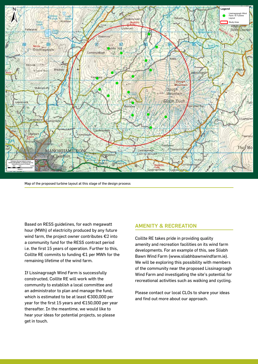

Map of the proposed turbine layout at this stage of the design process

Based on RESS guidelines, for each megawatt hour (MWh) of electricity produced by any future wind farm, the project owner contributes €2 into a community fund for the RESS contract period i.e. the first 15 years of operation. Further to this, Coillte RE commits to funding €1 per MWh for the remaining lifetime of the wind farm.

If Lissinagroagh Wind Farm is successfully constructed, Coillte RE will work with the community to establish a local committee and an administrator to plan and manage the fund, which is estimated to be at least €300,000 per year for the first 15 years and €150,000 per year thereafter. In the meantime, we would like to hear your ideas for potential projects, so please get in touch.

#### AMENITY & RECREATION

Coillte RE takes pride in providing quality amenity and recreation facilities on its wind farm developments. For an example of this, see Sliabh Bawn Wind Farm (www.sliabhbawnwindfarm.ie). We will be exploring this possibility with members of the community near the proposed Lissinagroagh Wind Farm and investigating the site's potential for recreational activities such as walking and cycling.

Please contact our local CLOs to share your ideas and find out more about our approach.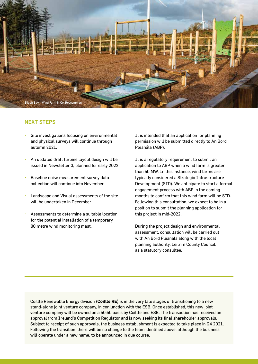

# NEXT STEPS

- Site investigations focusing on environmental and physical surveys will continue through autumn 2021.
- An updated draft turbine layout design will be issued in Newsletter 3, planned for early 2022.
- Baseline noise measurement survey data collection will continue into November.
- Landscape and Visual assessments of the site will be undertaken in December.
- Assessments to determine a suitable location for the potential installation of a temporary 80 metre wind monitoring mast.

It is intended that an application for planning permission will be submitted directly to An Bord Pleanála (ABP).

It is a regulatory requirement to submit an application to ABP when a wind farm is greater than 50 MW. In this instance, wind farms are typically considered a Strategic Infrastructure Development (SID). We anticipate to start a formal engagement process with ABP in the coming months to confirm that this wind farm will be SID. Following this consultation, we expect to be in a position to submit the planning application for this project in mid-2022.

During the project design and environmental assessment, consultation will be carried out with An Bord Pleanála along with the local planning authority, Leitrim County Council, as a statutory consultee.

Coillte Renewable Energy division (**Coillte RE**) is in the very late stages of transitioning to a new stand-alone joint venture company, in conjunction with the ESB. Once established, this new joint venture company will be owned on a 50:50 basis by Coillte and ESB. The transaction has received an approval from Ireland's Competition Regulator and is now seeking its final shareholder approvals. Subject to receipt of such approvals, the business establishment is expected to take place in Q4 2021. Following the transition, there will be no change to the team identified above, although the business will operate under a new name, to be announced in due course.